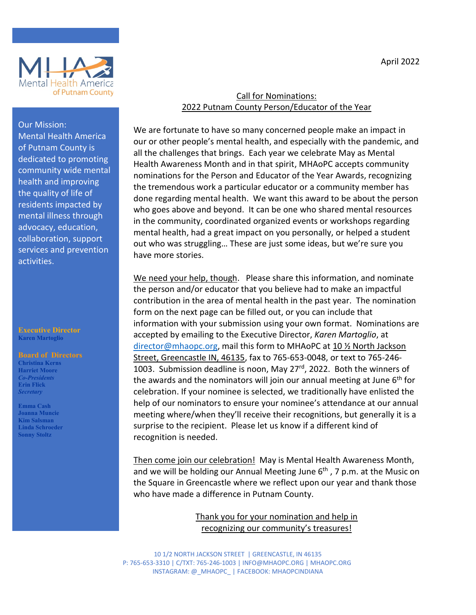



## Our Mission: Mental Health America of Putnam County is dedicated to promoting community wide mental health and improving the quality of life of residents impacted by mental illness through advocacy, education, collaboration, support services and prevention activities.

#### **Executive Director Karen Martoglio**

#### **Board of Directors**

**Christina Kerns Harriet Moore** *Co-Presidents* **Erin Flick** *Secretary*

**Emma Cash Joanna Muncie Kim Salsman Linda Schroeder Sonny Stoltz**

### Call for Nominations: 2022 Putnam County Person/Educator of the Year

We are fortunate to have so many concerned people make an impact in our or other people's mental health, and especially with the pandemic, and all the challenges that brings. Each year we celebrate May as Mental Health Awareness Month and in that spirit, MHAoPC accepts community nominations for the Person and Educator of the Year Awards, recognizing the tremendous work a particular educator or a community member has done regarding mental health. We want this award to be about the person who goes above and beyond. It can be one who shared mental resources in the community, coordinated organized events or workshops regarding mental health, had a great impact on you personally, or helped a student out who was struggling… These are just some ideas, but we're sure you have more stories.

We need your help, though. Please share this information, and nominate the person and/or educator that you believe had to make an impactful contribution in the area of mental health in the past year. The nomination form on the next page can be filled out, or you can include that information with your submission using your own format. Nominations are accepted by emailing to the Executive Director, *Karen Martoglio*, at director@mhaopc.org, mail this form to MHAoPC at 10 ½ North Jackson Street, Greencastle IN, 46135, fax to 765-653-0048, or text to 765-246- 1003. Submission deadline is noon, May 27<sup>rd</sup>, 2022. Both the winners of the awards and the nominators will join our annual meeting at June  $6<sup>th</sup>$  for celebration. If your nominee is selected, we traditionally have enlisted the help of our nominators to ensure your nominee's attendance at our annual meeting where/when they'll receive their recognitions, but generally it is a surprise to the recipient. Please let us know if a different kind of recognition is needed.

Then come join our celebration! May is Mental Health Awareness Month, and we will be holding our Annual Meeting June 6<sup>th</sup>, 7 p.m. at the Music on the Square in Greencastle where we reflect upon our year and thank those who have made a difference in Putnam County.

> Thank you for your nomination and help in recognizing our community's treasures!

10 1/2 NORTH JACKSON STREET | GREENCASTLE, IN 46135 P: 765-653-3310 | C/TXT: 765-246-1003 | INFO@MHAOPC.ORG | MHAOPC.ORG INSTAGRAM: @\_MHAOPC\_ | FACEBOOK: MHAOPCINDIANA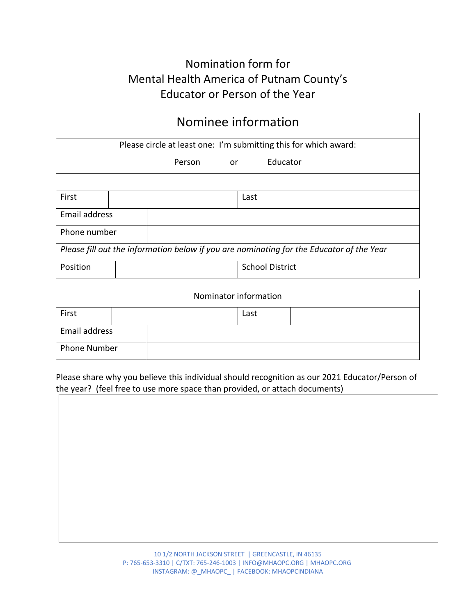# Nomination form for Mental Health America of Putnam County's Educator or Person of the Year

| Nominee information                                                                      |  |           |      |                        |  |  |  |
|------------------------------------------------------------------------------------------|--|-----------|------|------------------------|--|--|--|
| Please circle at least one: I'm submitting this for which award:                         |  |           |      |                        |  |  |  |
|                                                                                          |  | Person or |      | Educator               |  |  |  |
|                                                                                          |  |           |      |                        |  |  |  |
| First                                                                                    |  |           | Last |                        |  |  |  |
| Email address                                                                            |  |           |      |                        |  |  |  |
| Phone number                                                                             |  |           |      |                        |  |  |  |
| Please fill out the information below if you are nominating for the Educator of the Year |  |           |      |                        |  |  |  |
| Position                                                                                 |  |           |      | <b>School District</b> |  |  |  |

| Nominator information |  |      |  |  |  |  |
|-----------------------|--|------|--|--|--|--|
| First                 |  | Last |  |  |  |  |
| Email address         |  |      |  |  |  |  |
| Phone Number          |  |      |  |  |  |  |

Please share why you believe this individual should recognition as our 2021 Educator/Person of the year? (feel free to use more space than provided, or attach documents)